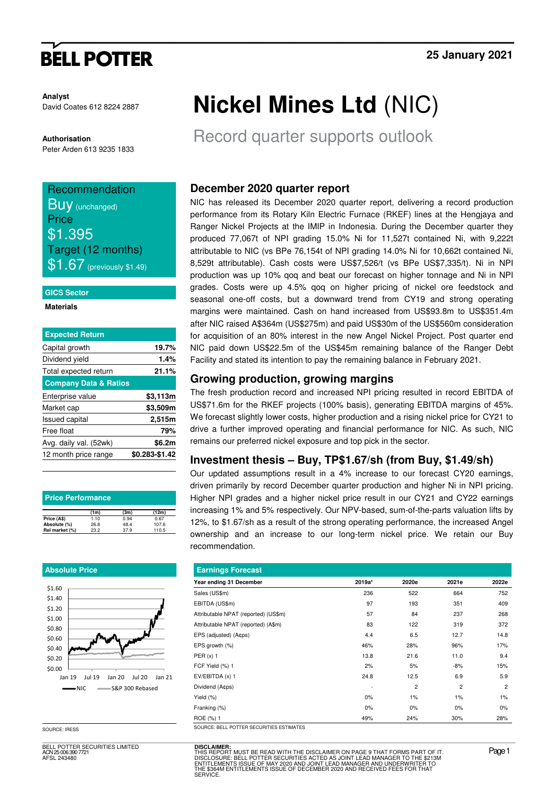# **BELL POTTER**

**Analyst** David Coates 612 8224 2887

**Authorisation**  Peter Arden 613 9235 1833

# Recommendation **Buy** (unchanged) **Price** \$1.395 Target (12 months)  $$1.67$  (previously \$1.49)

### **GICS Sector**

### **Materials**

| <b>Expected Return</b>           |                |
|----------------------------------|----------------|
| Capital growth                   | 19.7%          |
| Dividend yield                   | 1.4%           |
| Total expected return            | 21.1%          |
| <b>Company Data &amp; Ratios</b> |                |
| Enterprise value                 | \$3,113m       |
| Market cap                       | \$3,509m       |
| <b>Issued capital</b>            | 2,515m         |
| Free float                       | 79%            |
| Avg. daily val. (52wk)           | \$6.2m         |
| 12 month price range             | \$0.283-\$1.42 |
|                                  |                |

| <b>Price Performance</b> |      |      |       |  |  |  |  |
|--------------------------|------|------|-------|--|--|--|--|
|                          | (1m) | (3m) | (12m) |  |  |  |  |
| Price (A\$)              | 1.10 | 0.94 | 0.67  |  |  |  |  |
| Absolute (%)             | 26.8 | 48.4 | 107.6 |  |  |  |  |
| Rel market (%)           | 23.2 | 37.9 | 110.5 |  |  |  |  |

### **Absolute Price**



BELL POTTER SECURITIES LIMITED ACN 25 006 390 7721 AFSL 243480

# **Nickel Mines Ltd** (NIC)

Record quarter supports outlook

# **December 2020 quarter report**

NIC has released its December 2020 quarter report, delivering a record production performance from its Rotary Kiln Electric Furnace (RKEF) lines at the Hengjaya and Ranger Nickel Projects at the IMIP in Indonesia. During the December quarter they produced 77,067t of NPI grading 15.0% Ni for 11,527t contained Ni, with 9,222t attributable to NIC (vs BPe 76,154t of NPI grading 14.0% Ni for 10,662t contained Ni, 8,529t attributable). Cash costs were US\$7,526/t (vs BPe US\$7,335/t). Ni in NPI production was up 10% qoq and beat our forecast on higher tonnage and Ni in NPI grades. Costs were up 4.5% qoq on higher pricing of nickel ore feedstock and seasonal one-off costs, but a downward trend from CY19 and strong operating margins were maintained. Cash on hand increased from US\$93.8m to US\$351.4m after NIC raised A\$364m (US\$275m) and paid US\$30m of the US\$560m consideration for acquisition of an 80% interest in the new Angel Nickel Project. Post quarter end NIC paid down US\$22.5m of the US\$45m remaining balance of the Ranger Debt Facility and stated its intention to pay the remaining balance in February 2021.

## **Growing production, growing margins**

The fresh production record and increased NPI pricing resulted in record EBITDA of US\$71.6m for the RKEF projects (100% basis), generating EBITDA margins of 45%. We forecast slightly lower costs, higher production and a rising nickel price for CY21 to drive a further improved operating and financial performance for NIC. As such, NIC remains our preferred nickel exposure and top pick in the sector.

## **Investment thesis – Buy, TP\$1.67/sh (from Buy, \$1.49/sh)**

Our updated assumptions result in a 4% increase to our forecast CY20 earnings, driven primarily by record December quarter production and higher Ni in NPI pricing. Higher NPI grades and a higher nickel price result in our CY21 and CY22 earnings increasing 1% and 5% respectively. Our NPV-based, sum-of-the-parts valuation lifts by 12%, to \$1.67/sh as a result of the strong operating performance, the increased Angel ownership and an increase to our long-term nickel price. We retain our Buy recommendation.

| <b>Earnings Forecast</b>             |        |                |                |                |  |  |  |  |  |
|--------------------------------------|--------|----------------|----------------|----------------|--|--|--|--|--|
| Year ending 31 December              | 2019a* | 2020e          | 2021e          | 2022e          |  |  |  |  |  |
| Sales (US\$m)                        | 236    | 522            | 664            | 752            |  |  |  |  |  |
| EBITDA (US\$m)                       | 97     | 193            | 351            | 409            |  |  |  |  |  |
| Attributable NPAT (reported) (US\$m) | 57     | 84             | 237            | 268            |  |  |  |  |  |
| Attributable NPAT (reported) (A\$m)  | 83     | 122            | 319            | 372            |  |  |  |  |  |
| EPS (adjusted) (A¢ps)                | 4.4    | 6.5            | 12.7           | 14.8           |  |  |  |  |  |
| EPS growth (%)                       | 46%    | 28%            | 96%            | 17%            |  |  |  |  |  |
| $PER(x)$ 1                           | 13.8   | 21.6           | 11.0           | 9.4            |  |  |  |  |  |
| FCF Yield (%) 1                      | 2%     | 5%             | $-8%$          | 15%            |  |  |  |  |  |
| EV/EBITDA (x) 1                      | 24.8   | 12.5           | 6.9            | 5.9            |  |  |  |  |  |
| Dividend (Acps)                      |        | $\overline{2}$ | $\overline{2}$ | $\overline{2}$ |  |  |  |  |  |
| Yield (%)                            | 0%     | 1%             | 1%             | 1%             |  |  |  |  |  |
| Franking (%)                         | 0%     | $0\%$          | 0%             | 0%             |  |  |  |  |  |
| ROE (%) 1                            | 49%    | 24%            | 30%            | 28%            |  |  |  |  |  |

SOURCE: IRESS SOURCE: BELL POTTER SECURITIES ESTIMATES

**DISCLAIMER:** THIS REPORT MUST BE READ WITH THE DISCLAIMER ON PAGE 9 THAT FORMS PART OF IT.<br>DISCLOSURE: BELL POTTER SECURITIES ACTED AS JOINT LEAD MANAGER TO THE \$2131M<br>ENTITLEMENTS ISSUE OF MAY 2020 AND JOINT LEAD MANAGER AND UNDERWRIT STICH ON FROOT DE THEND WITH THE DISCULTINE IT ON TAIL STICK OF DESCRIPTION IN A CHINO TAIL \$21<br>TTLEMENTS ISSUE OF MAY 2020 AND JOINT LEAD MANAGER AND UNDERWRITER TO<br>1,\$364M ENTITLEMENTS ISSUE OF DECEMBER 2020 AND RECEIVED **SERVICE**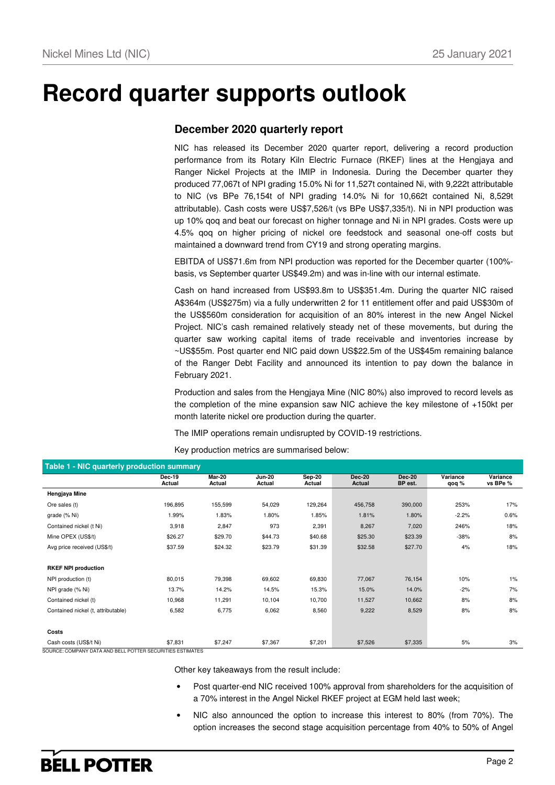# **Record quarter supports outlook**

## **December 2020 quarterly report**

NIC has released its December 2020 quarter report, delivering a record production performance from its Rotary Kiln Electric Furnace (RKEF) lines at the Hengjaya and Ranger Nickel Projects at the IMIP in Indonesia. During the December quarter they produced 77,067t of NPI grading 15.0% Ni for 11,527t contained Ni, with 9,222t attributable to NIC (vs BPe 76,154t of NPI grading 14.0% Ni for 10,662t contained Ni, 8,529t attributable). Cash costs were US\$7,526/t (vs BPe US\$7,335/t). Ni in NPI production was up 10% qoq and beat our forecast on higher tonnage and Ni in NPI grades. Costs were up 4.5% qoq on higher pricing of nickel ore feedstock and seasonal one-off costs but maintained a downward trend from CY19 and strong operating margins.

EBITDA of US\$71.6m from NPI production was reported for the December quarter (100% basis, vs September quarter US\$49.2m) and was in-line with our internal estimate.

Cash on hand increased from US\$93.8m to US\$351.4m. During the quarter NIC raised A\$364m (US\$275m) via a fully underwritten 2 for 11 entitlement offer and paid US\$30m of the US\$560m consideration for acquisition of an 80% interest in the new Angel Nickel Project. NIC's cash remained relatively steady net of these movements, but during the quarter saw working capital items of trade receivable and inventories increase by ~US\$55m. Post quarter end NIC paid down US\$22.5m of the US\$45m remaining balance of the Ranger Debt Facility and announced its intention to pay down the balance in February 2021.

Production and sales from the Hengjaya Mine (NIC 80%) also improved to record levels as the completion of the mine expansion saw NIC achieve the key milestone of +150kt per month laterite nickel ore production during the quarter.

The IMIP operations remain undisrupted by COVID-19 restrictions.

Key production metrics are summarised below:

| Table 1 - NIC quarterly production summary |                         |                  |                         |                    |                         |                          |                   |                      |
|--------------------------------------------|-------------------------|------------------|-------------------------|--------------------|-------------------------|--------------------------|-------------------|----------------------|
|                                            | <b>Dec-19</b><br>Actual | Mar-20<br>Actual | <b>Jun-20</b><br>Actual | $Sep-20$<br>Actual | <b>Dec-20</b><br>Actual | <b>Dec-20</b><br>BP est. | Variance<br>qoq % | Variance<br>vs BPe % |
| Hengjaya Mine                              |                         |                  |                         |                    |                         |                          |                   |                      |
| Ore sales (t)                              | 196,895                 | 155,599          | 54,029                  | 129,264            | 456,758                 | 390,000                  | 253%              | 17%                  |
| grade (% Ni)                               | 1.99%                   | 1.83%            | 1.80%                   | 1.85%              | 1.81%                   | 1.80%                    | $-2.2%$           | 0.6%                 |
| Contained nickel (t Ni)                    | 3,918                   | 2,847            | 973                     | 2,391              | 8,267                   | 7,020                    | 246%              | 18%                  |
| Mine OPEX (US\$/t)                         | \$26.27                 | \$29.70          | \$44.73                 | \$40.68            | \$25.30                 | \$23.39                  | $-38%$            | 8%                   |
| Avg price received (US\$/t)                | \$37.59                 | \$24.32          | \$23.79                 | \$31.39            | \$32.58                 | \$27.70                  | 4%                | 18%                  |
|                                            |                         |                  |                         |                    |                         |                          |                   |                      |
| <b>RKEF NPI production</b>                 |                         |                  |                         |                    |                         |                          |                   |                      |
| NPI production (t)                         | 80,015                  | 79,398           | 69,602                  | 69,830             | 77,067                  | 76,154                   | 10%               | 1%                   |
| NPI grade (% Ni)                           | 13.7%                   | 14.2%            | 14.5%                   | 15.3%              | 15.0%                   | 14.0%                    | $-2%$             | 7%                   |
| Contained nickel (t)                       | 10,968                  | 11,291           | 10,104                  | 10,700             | 11,527                  | 10,662                   | 8%                | 8%                   |
| Contained nickel (t, attributable)         | 6,582                   | 6,775            | 6,062                   | 8,560              | 9,222                   | 8,529                    | 8%                | 8%                   |
|                                            |                         |                  |                         |                    |                         |                          |                   |                      |
| Costs                                      |                         |                  |                         |                    |                         |                          |                   |                      |
| Cash costs (US\$/t Ni)                     | \$7,831                 | \$7,247          | \$7,367                 | \$7,201            | \$7,526                 | \$7,335                  | 5%                | 3%                   |

SOURCE: COMPANY DATA AND BELL POTTER SECURITIES ESTIMATES

Other key takeaways from the result include:

- Post quarter-end NIC received 100% approval from shareholders for the acquisition of a 70% interest in the Angel Nickel RKEF project at EGM held last week;
- NIC also announced the option to increase this interest to 80% (from 70%). The option increases the second stage acquisition percentage from 40% to 50% of Angel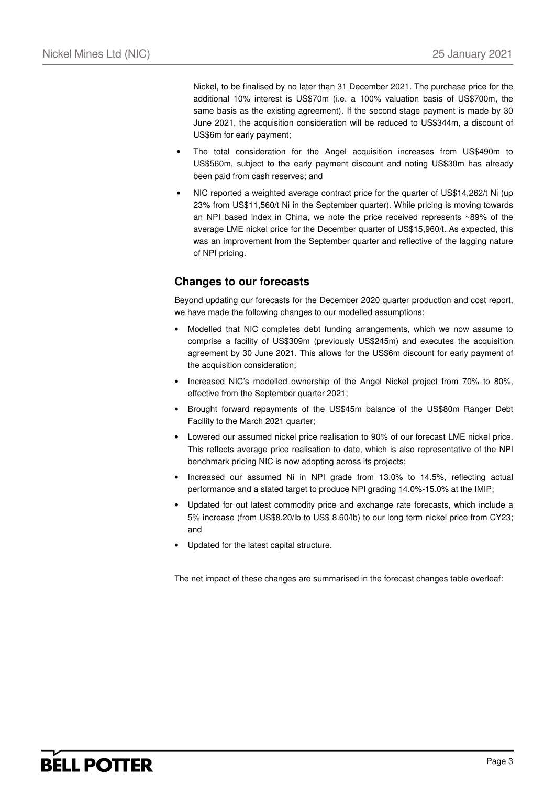Nickel, to be finalised by no later than 31 December 2021. The purchase price for the additional 10% interest is US\$70m (i.e. a 100% valuation basis of US\$700m, the same basis as the existing agreement). If the second stage payment is made by 30 June 2021, the acquisition consideration will be reduced to US\$344m, a discount of US\$6m for early payment;

- The total consideration for the Angel acquisition increases from US\$490m to US\$560m, subject to the early payment discount and noting US\$30m has already been paid from cash reserves; and
- NIC reported a weighted average contract price for the quarter of US\$14,262/t Ni (up 23% from US\$11,560/t Ni in the September quarter). While pricing is moving towards an NPI based index in China, we note the price received represents ~89% of the average LME nickel price for the December quarter of US\$15,960/t. As expected, this was an improvement from the September quarter and reflective of the lagging nature of NPI pricing.

## **Changes to our forecasts**

Beyond updating our forecasts for the December 2020 quarter production and cost report, we have made the following changes to our modelled assumptions:

- Modelled that NIC completes debt funding arrangements, which we now assume to comprise a facility of US\$309m (previously US\$245m) and executes the acquisition agreement by 30 June 2021. This allows for the US\$6m discount for early payment of the acquisition consideration;
- Increased NIC's modelled ownership of the Angel Nickel project from 70% to 80%, effective from the September quarter 2021;
- Brought forward repayments of the US\$45m balance of the US\$80m Ranger Debt Facility to the March 2021 quarter;
- Lowered our assumed nickel price realisation to 90% of our forecast LME nickel price. This reflects average price realisation to date, which is also representative of the NPI benchmark pricing NIC is now adopting across its projects;
- Increased our assumed Ni in NPI grade from 13.0% to 14.5%, reflecting actual performance and a stated target to produce NPI grading 14.0%-15.0% at the IMIP;
- Updated for out latest commodity price and exchange rate forecasts, which include a 5% increase (from US\$8.20/lb to US\$ 8.60/lb) to our long term nickel price from CY23; and
- Updated for the latest capital structure.

The net impact of these changes are summarised in the forecast changes table overleaf: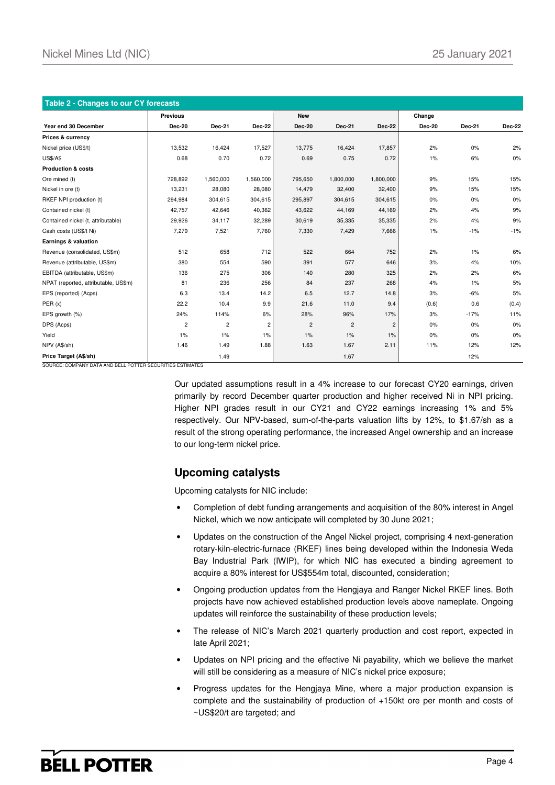| Table 2 - Changes to our CY forecasts |                 |                |                |                |                |                |               |               |               |
|---------------------------------------|-----------------|----------------|----------------|----------------|----------------|----------------|---------------|---------------|---------------|
|                                       | <b>Previous</b> |                |                | <b>New</b>     |                |                | Change        |               |               |
| Year end 30 December                  | Dec-20          | <b>Dec-21</b>  | Dec-22         | <b>Dec-20</b>  | <b>Dec-21</b>  | Dec-22         | <b>Dec-20</b> | <b>Dec-21</b> | <b>Dec-22</b> |
| Prices & currency                     |                 |                |                |                |                |                |               |               |               |
| Nickel price (US\$/t)                 | 13,532          | 16,424         | 17,527         | 13,775         | 16,424         | 17,857         | 2%            | 0%            | 2%            |
| <b>US\$/A\$</b>                       | 0.68            | 0.70           | 0.72           | 0.69           | 0.75           | 0.72           | $1\%$         | 6%            | $0\%$         |
| <b>Production &amp; costs</b>         |                 |                |                |                |                |                |               |               |               |
| Ore mined (t)                         | 728,892         | 1,560,000      | 1,560,000      | 795,650        | 1,800,000      | 1,800,000      | 9%            | 15%           | 15%           |
| Nickel in ore (t)                     | 13,231          | 28,080         | 28,080         | 14,479         | 32,400         | 32,400         | 9%            | 15%           | 15%           |
| RKEF NPI production (t)               | 294,984         | 304,615        | 304,615        | 295,897        | 304,615        | 304,615        | 0%            | 0%            | 0%            |
| Contained nickel (t)                  | 42,757          | 42,646         | 40,362         | 43,622         | 44,169         | 44,169         | 2%            | 4%            | 9%            |
| Contained nickel (t, attributable)    | 29,926          | 34,117         | 32,289         | 30,619         | 35,335         | 35,335         | 2%            | 4%            | 9%            |
| Cash costs (US\$/t Ni)                | 7,279           | 7,521          | 7,760          | 7,330          | 7,429          | 7,666          | $1\%$         | $-1%$         | $-1%$         |
| Earnings & valuation                  |                 |                |                |                |                |                |               |               |               |
| Revenue (consolidated, US\$m)         | 512             | 658            | 712            | 522            | 664            | 752            | 2%            | $1\%$         | 6%            |
| Revenue (attributable, US\$m)         | 380             | 554            | 590            | 391            | 577            | 646            | 3%            | 4%            | 10%           |
| EBITDA (attributable, US\$m)          | 136             | 275            | 306            | 140            | 280            | 325            | 2%            | 2%            | 6%            |
| NPAT (reported, attributable, US\$m)  | 81              | 236            | 256            | 84             | 237            | 268            | 4%            | $1\%$         | 5%            |
| EPS (reported) (Acps)                 | 6.3             | 13.4           | 14.2           | 6.5            | 12.7           | 14.8           | 3%            | $-6%$         | 5%            |
| PER(x)                                | 22.2            | 10.4           | 9.9            | 21.6           | 11.0           | 9.4            | (0.6)         | 0.6           | (0.4)         |
| EPS growth (%)                        | 24%             | 114%           | 6%             | 28%            | 96%            | 17%            | 3%            | $-17%$        | 11%           |
| DPS (Acps)                            | $\overline{c}$  | $\overline{c}$ | $\overline{c}$ | $\overline{c}$ | $\overline{c}$ | $\overline{c}$ | 0%            | 0%            | 0%            |
| Yield                                 | 1%              | 1%             | $1\%$          | 1%             | 1%             | 1%             | 0%            | 0%            | 0%            |
| NPV (A\$/sh)                          | 1.46            | 1.49           | 1.88           | 1.63           | 1.67           | 2.11           | 11%           | 12%           | 12%           |
| Price Target (A\$/sh)                 |                 | 1.49           |                |                | 1.67           |                |               | 12%           |               |

SOURCE: COMPANY DATA AND BELL POTTER SECURITIES ESTIMATES

Our updated assumptions result in a 4% increase to our forecast CY20 earnings, driven primarily by record December quarter production and higher received Ni in NPI pricing. Higher NPI grades result in our CY21 and CY22 earnings increasing 1% and 5% respectively. Our NPV-based, sum-of-the-parts valuation lifts by 12%, to \$1.67/sh as a result of the strong operating performance, the increased Angel ownership and an increase to our long-term nickel price.

## **Upcoming catalysts**

Upcoming catalysts for NIC include:

- Completion of debt funding arrangements and acquisition of the 80% interest in Angel Nickel, which we now anticipate will completed by 30 June 2021;
- Updates on the construction of the Angel Nickel project, comprising 4 next-generation rotary-kiln-electric-furnace (RKEF) lines being developed within the Indonesia Weda Bay Industrial Park (IWIP), for which NIC has executed a binding agreement to acquire a 80% interest for US\$554m total, discounted, consideration;
- Ongoing production updates from the Hengjaya and Ranger Nickel RKEF lines. Both projects have now achieved established production levels above nameplate. Ongoing updates will reinforce the sustainability of these production levels;
- The release of NIC's March 2021 quarterly production and cost report, expected in late April 2021;
- Updates on NPI pricing and the effective Ni payability, which we believe the market will still be considering as a measure of NIC's nickel price exposure;
- Progress updates for the Hengjaya Mine, where a major production expansion is complete and the sustainability of production of +150kt ore per month and costs of ~US\$20/t are targeted; and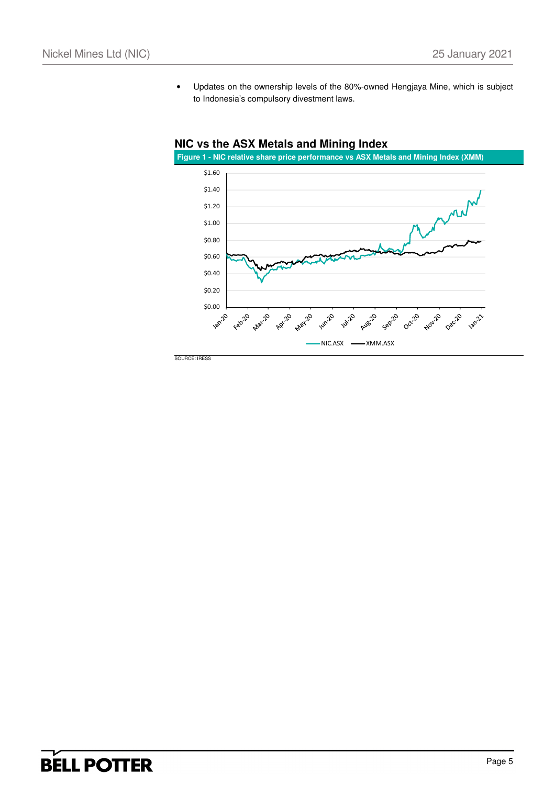• Updates on the ownership levels of the 80%-owned Hengjaya Mine, which is subject to Indonesia's compulsory divestment laws.



## **NIC vs the ASX Metals and Mining Index**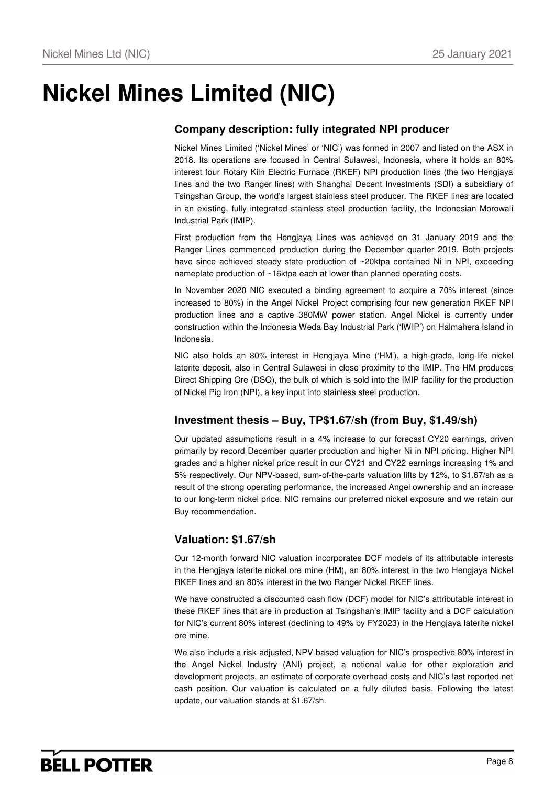# **Nickel Mines Limited (NIC)**

# **Company description: fully integrated NPI producer**

Nickel Mines Limited ('Nickel Mines' or 'NIC') was formed in 2007 and listed on the ASX in 2018. Its operations are focused in Central Sulawesi, Indonesia, where it holds an 80% interest four Rotary Kiln Electric Furnace (RKEF) NPI production lines (the two Hengjaya lines and the two Ranger lines) with Shanghai Decent Investments (SDI) a subsidiary of Tsingshan Group, the world's largest stainless steel producer. The RKEF lines are located in an existing, fully integrated stainless steel production facility, the Indonesian Morowali Industrial Park (IMIP).

First production from the Hengjaya Lines was achieved on 31 January 2019 and the Ranger Lines commenced production during the December quarter 2019. Both projects have since achieved steady state production of ~20ktpa contained Ni in NPI, exceeding nameplate production of ~16ktpa each at lower than planned operating costs.

In November 2020 NIC executed a binding agreement to acquire a 70% interest (since increased to 80%) in the Angel Nickel Project comprising four new generation RKEF NPI production lines and a captive 380MW power station. Angel Nickel is currently under construction within the Indonesia Weda Bay Industrial Park ('IWIP') on Halmahera Island in Indonesia.

NIC also holds an 80% interest in Hengjaya Mine ('HM'), a high-grade, long-life nickel laterite deposit, also in Central Sulawesi in close proximity to the IMIP. The HM produces Direct Shipping Ore (DSO), the bulk of which is sold into the IMIP facility for the production of Nickel Pig Iron (NPI), a key input into stainless steel production.

## **Investment thesis – Buy, TP\$1.67/sh (from Buy, \$1.49/sh)**

Our updated assumptions result in a 4% increase to our forecast CY20 earnings, driven primarily by record December quarter production and higher Ni in NPI pricing. Higher NPI grades and a higher nickel price result in our CY21 and CY22 earnings increasing 1% and 5% respectively. Our NPV-based, sum-of-the-parts valuation lifts by 12%, to \$1.67/sh as a result of the strong operating performance, the increased Angel ownership and an increase to our long-term nickel price. NIC remains our preferred nickel exposure and we retain our Buy recommendation.

## **Valuation: \$1.67/sh**

Our 12-month forward NIC valuation incorporates DCF models of its attributable interests in the Hengjaya laterite nickel ore mine (HM), an 80% interest in the two Hengjaya Nickel RKEF lines and an 80% interest in the two Ranger Nickel RKEF lines.

We have constructed a discounted cash flow (DCF) model for NIC's attributable interest in these RKEF lines that are in production at Tsingshan's IMIP facility and a DCF calculation for NIC's current 80% interest (declining to 49% by FY2023) in the Hengjaya laterite nickel ore mine.

We also include a risk-adjusted, NPV-based valuation for NIC's prospective 80% interest in the Angel Nickel Industry (ANI) project, a notional value for other exploration and development projects, an estimate of corporate overhead costs and NIC's last reported net cash position. Our valuation is calculated on a fully diluted basis. Following the latest update, our valuation stands at \$1.67/sh.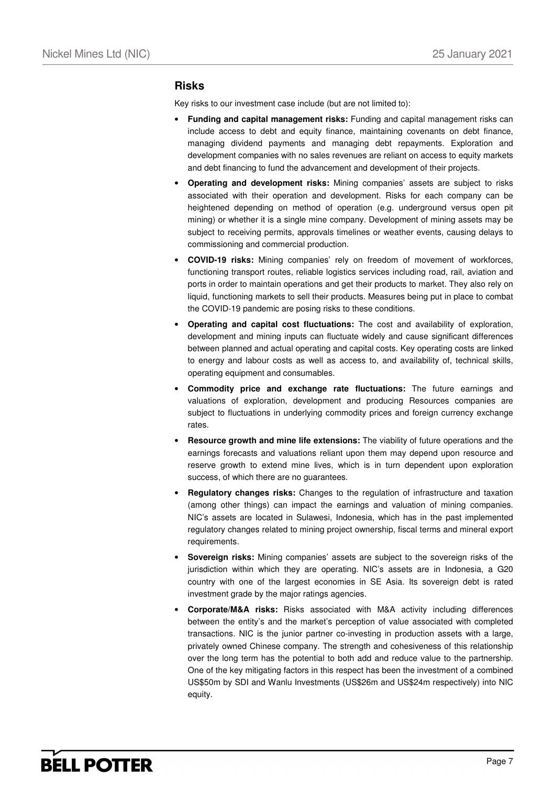### **Risks**

Key risks to our investment case include (but are not limited to):

- **Funding and capital management risks:** Funding and capital management risks can include access to debt and equity finance, maintaining covenants on debt finance, managing dividend payments and managing debt repayments. Exploration and development companies with no sales revenues are reliant on access to equity markets and debt financing to fund the advancement and development of their projects.
- **Operating and development risks:** Mining companies' assets are subject to risks associated with their operation and development. Risks for each company can be heightened depending on method of operation (e.g. underground versus open pit mining) or whether it is a single mine company. Development of mining assets may be subject to receiving permits, approvals timelines or weather events, causing delays to commissioning and commercial production.
- **COVID-19 risks:** Mining companies' rely on freedom of movement of workforces, functioning transport routes, reliable logistics services including road, rail, aviation and ports in order to maintain operations and get their products to market. They also rely on liquid, functioning markets to sell their products. Measures being put in place to combat the COVID-19 pandemic are posing risks to these conditions.
- **Operating and capital cost fluctuations:** The cost and availability of exploration, development and mining inputs can fluctuate widely and cause significant differences between planned and actual operating and capital costs. Key operating costs are linked to energy and labour costs as well as access to, and availability of, technical skills, operating equipment and consumables.
- **Commodity price and exchange rate fluctuations:** The future earnings and valuations of exploration, development and producing Resources companies are subject to fluctuations in underlying commodity prices and foreign currency exchange rates.
- **Resource growth and mine life extensions:** The viability of future operations and the earnings forecasts and valuations reliant upon them may depend upon resource and reserve growth to extend mine lives, which is in turn dependent upon exploration success, of which there are no guarantees.
- **Regulatory changes risks:** Changes to the regulation of infrastructure and taxation (among other things) can impact the earnings and valuation of mining companies. NIC's assets are located in Sulawesi, Indonesia, which has in the past implemented regulatory changes related to mining project ownership, fiscal terms and mineral export requirements.
- **Sovereign risks:** Mining companies' assets are subject to the sovereign risks of the jurisdiction within which they are operating. NIC's assets are in Indonesia, a G20 country with one of the largest economies in SE Asia. Its sovereign debt is rated investment grade by the major ratings agencies.
- **Corporate/M&A risks:** Risks associated with M&A activity including differences between the entity's and the market's perception of value associated with completed transactions. NIC is the junior partner co-investing in production assets with a large, privately owned Chinese company. The strength and cohesiveness of this relationship over the long term has the potential to both add and reduce value to the partnership. One of the key mitigating factors in this respect has been the investment of a combined US\$50m by SDI and Wanlu Investments (US\$26m and US\$24m respectively) into NIC equity.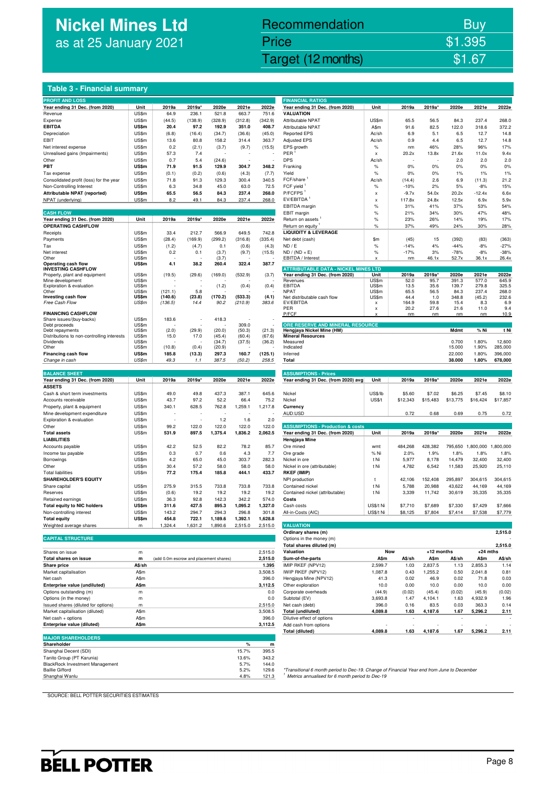# **Nickel Mines Ltd** as at 25 January 2021

# Nickel Mines Ltd (Nickel Mines Ltd (Nickel Mines Ltd (Nickel Mines Ltd (Nickel Mines Ltd Computer) \$1.67 Recommendation Buy Price \$1.395

## **Table 3 - Financial summary**

| <b>PROFIT AND LOSS</b>                                    |                |                                        |                |                  |                 |                  | <b>FINANCIAL RATIOS</b>                                                                    |                |              |              |                 |                |                 |
|-----------------------------------------------------------|----------------|----------------------------------------|----------------|------------------|-----------------|------------------|--------------------------------------------------------------------------------------------|----------------|--------------|--------------|-----------------|----------------|-----------------|
| Year ending 31 Dec. (from 2020)                           | Unit           | 2019a                                  | 2019a'         | 2020e            | 2021e           | 2022e            | Year ending 31 Dec. (from 2020)                                                            | Unit           | 2019a        | 2019a        | 2020e           | 2021e          | 2022e           |
| Revenue                                                   | US\$m          | 64.9                                   | 236.1          | 521.8            | 663.7           | 751.6            | <b>VALUATION</b>                                                                           |                |              |              |                 |                |                 |
| Expense                                                   | US\$m          | (44.5)                                 | (138.9)        | (328.9)          | (312.8)         | (342.9)          | Attributable NPAT                                                                          | US\$m          | 65.5         | 56.5         | 84.3            | 237.4          | 268.0           |
| <b>EBITDA</b>                                             | <b>US\$m</b>   | 20.4                                   | 97.2           | 192.9            | 351.0           | 408.7            | Attributable NPAT                                                                          | A\$m           | 91.6         | 82.5         | 122.0           | 318.6          | 372.2           |
| Depreciation                                              | US\$m          | (6.8)                                  | (16.4)         | (34.7)           | (36.6)          | (45.0)           | <b>Reported EPS</b>                                                                        | Ac/sh          | 6.9          | 5.1          | 6.5             | 12.7           | 14.8            |
| EBIT                                                      | US\$m          | 13.6                                   | 80.8           | 158.2            | 314.4           | 363.7            | <b>Adjusted EPS</b>                                                                        | Ac/sh          | 0.9          | 4.4          | 6.5             | 12.7           | 14.8            |
| Net interest expense                                      | US\$m          | 0.2                                    | (2.1)          | (3.7)            | (9.7)           | (15.5)           | EPS growth                                                                                 | %              | nm           | 46%          | 28%             | 96%            | 17%             |
| Unrealised gains (Impairments)                            | US\$m          | 57.3                                   | 7.4            |                  |                 |                  | PER                                                                                        | x              | 20.2x        | 13.8x        | 21.6x           | 11.0x          | 9.4x            |
| Other                                                     | US\$m          | 0.7                                    | 5.4            | (24.6)           |                 |                  | <b>DPS</b>                                                                                 | Ac/sh          |              |              | 2.0             | 2.0            | 2.0             |
| PBT                                                       | <b>US\$m</b>   | 71.9                                   | 91.5           | 129.9            | 304.7           | 348.2            | Franking                                                                                   | $\%$           | 0%           | 0%           | 0%              | 0%             | 0%              |
| Tax expense                                               | US\$m          | (0.1)                                  | (0.2)          | (0.6)            | (4.3)           | (7.7)            | Yield                                                                                      | %              | 0%           | 0%           | 1%              | 1%             | 1%              |
| Consolidated profit (loss) for the year                   | US\$m          | 71.8                                   | 91.3           | 129.3            | 300.4           | 340.5            | FCF/share                                                                                  | Ac/sh          | (14.4)       | 2.6          | 6.9             | (11.3)         | 21.2            |
| Non-Controlling Interest                                  | US\$m          | 6.3                                    | 34.8           | 45.0             | 63.0            | 72.5             | FCF yield                                                                                  | $\%$           | $-10%$       | 2%           | 5%              | $-8%$          | 15%             |
| Attributable NPAT (reported)                              | US\$m          | 65.5                                   | 56.5           | 84.3             | 237.4           | 268.0            | P/FCFPS <sup>1</sup>                                                                       | x              | $-9.7x$      | 54.0x        | 20.2x           | $-12.4x$       | 6.6x            |
| NPAT (underlying)                                         | US\$m          | 8.2                                    | 49.1           | 84.3             | 237.4           | 268.0            | EV/EBITDA                                                                                  | X              | 117.8x       | 24.8x        | 12.5x           | 6.9x           | 5.9x            |
|                                                           |                |                                        |                |                  |                 |                  | EBITDA margin                                                                              | $\%$           | 31%          | 41%          | 37%             | 53%            | 54%             |
| <b>CASH FLOW</b>                                          |                |                                        |                |                  |                 |                  | EBIT margin                                                                                | $\%$           | 21%          | 34%          | 30%             | 47%            | 48%             |
| Year ending 31 Dec. (from 2020)                           | Unit           | 2019a                                  | 2019a*         | 2020e            | 2021e           | 2022e            | Return on assets                                                                           | $\%$           | 23%          | 26%          | 14%             | 19%            | 17%             |
| <b>OPERATING CASHFLOW</b>                                 |                |                                        |                |                  |                 |                  | Return on equity                                                                           | $\%$           | 37%          | 49%          | 24%             | 30%            | 28%             |
| Receipts                                                  | US\$m          | 33.4                                   | 212.7          | 566.9            | 649.5           | 742.8            | <b>LIQUIDITY &amp; LEVERAGE</b>                                                            |                |              |              |                 |                |                 |
| Payments                                                  | US\$m          | (28.4)                                 | (169.9)        | (299.2)          | (316.8)         | (335.4)          | Net debt (cash)                                                                            | \$m            | (45)         | 15           | (392)           | (83)           | (363)           |
| Tax                                                       | US\$m          | (1.2)                                  | (4.7)          | 0.1              | (0.6)           | (4.3)            | ND / E                                                                                     | $\%$           | $-14%$       | 4%           | $-44%$          | $-8%$          | $-27%$          |
| Net interest<br>Other                                     | US\$m<br>US\$m | 0.2                                    | 0.1            | (3.7)<br>(3.7)   | (9.7)           | (15.5)           | $ND / (ND + E)$<br>EBITDA / Interest                                                       | $\%$           | $-17%$<br>nm | 3%<br>46.1x  | $-78%$<br>52.7x | $-8%$<br>36.1x | $-38%$<br>26.4x |
| Operating cash flow                                       | US\$m          | 4.1                                    | 38.2           | 260.4            | 322.4           | 387.7            |                                                                                            |                |              |              |                 |                |                 |
| <b>INVESTING CASHFLOW</b>                                 |                |                                        |                |                  |                 |                  | <b>ATTRIBUTABLE DATA - NICKEL MINES LTD</b>                                                |                |              |              |                 |                |                 |
| Property, plant and equipment                             | US\$m          | (19.5)                                 | (29.6)         | (169.0)          | (532.9)         | (3.7)            | Year ending 31 Dec. (from 2020)                                                            | Unit           | 2019a        | 2019a        | 2020e           | 2021e          | 2022e           |
| Mine development                                          | US\$m          |                                        |                |                  |                 |                  | Revenues                                                                                   | US\$m          | 52.0         | 95.7         | 391.3           | 577.0          | 645.9           |
| Exploration & evaluation<br>Other                         | US\$m<br>US\$m | (121.1)                                | 5.8            | (1.2)            | (0.4)           | (0.4)            | EBITDA<br>NPAT                                                                             | US\$m<br>US\$m | 13.5<br>65.5 | 35.6<br>56.5 | 139.7<br>84.3   | 279.8<br>237.4 | 325.5<br>268.0  |
| Investing cash flow                                       | US\$m          | (140.6)                                | (23.8)         | (170.2)          | (533.3)         | (4.1)            | Net distributable cash flow                                                                | US\$m          | 44.4         | 1.0          | 348.8           | (45.2)         | 232.6           |
| <b>Free Cash Flow</b>                                     | US\$m          | (136.5)                                | 14.4           | 90.2             | (210.9)         | 383.6            | EV/EBITDA                                                                                  | x              | 164.9        | 59.8         | 15.4            | 8.3            | 6.9             |
|                                                           |                |                                        |                |                  |                 |                  | PER                                                                                        | x              | 20.2         | 27.6         | 21.6            | 11.0           | 9.4             |
| <b>FINANCING CASHFLOW</b>                                 |                |                                        |                |                  |                 |                  | P/FCF                                                                                      |                | nm           | nm           | nm              | nm             | 10.9            |
| Share issues/(buy-backs)                                  | US\$m          | 183.6                                  |                | 418.3            |                 |                  |                                                                                            |                |              |              |                 |                |                 |
| Debt proceeds<br>Debt repayments                          | US\$m<br>US\$m |                                        |                |                  | 309.0<br>(50.3) |                  | ORE RESERVE AND MINERAL RESOURCE<br>Hengjaya Nickel Mine (HM)                              |                |              |              | Mdmt            | % Ni           | t Ni            |
| Distributions to non-controlling interests                | US\$m          | (2.0)<br>15.0                          | (29.9)<br>17.0 | (20.0)<br>(45.4) | (60.4)          | (21.3)<br>(67.6) | <b>Mineral Resources</b>                                                                   |                |              |              |                 |                |                 |
| Dividends                                                 | US\$m          |                                        |                | (34.7)           | (37.5)          | (36.2)           | Measured                                                                                   |                |              |              | 0.700           | 1.80%          | 12,600          |
| Other                                                     | US\$m          | (10.8)                                 | (0.4)          | (20.9)           |                 |                  | Indicated                                                                                  |                |              |              | 15.000          | 1.90%          | 285,000         |
| <b>Financing cash flow</b>                                | US\$m          | 185.8                                  | (13.3)         | 297.3            | 160.7           | (125.1)          | Inferred                                                                                   |                |              |              | 22.000          | 1.80%          | 396,000         |
| Change in cash                                            | US\$m          | 49.3                                   | 1.1            | 387.5            | (50.2)          | 258.5            | Total                                                                                      |                |              |              | 38.000          | 1.80%          | 678,000         |
|                                                           |                |                                        |                |                  |                 |                  |                                                                                            |                |              |              |                 |                |                 |
| <b>BALANCE SHEET</b>                                      |                |                                        |                |                  |                 |                  | <b>ASSUMPTIONS - Prices</b>                                                                |                |              |              |                 |                |                 |
| Year ending 31 Dec. (from 2020)                           | Unit           | 2019a                                  | 2019a*         | 2020e            | 2021e           | 2022e            | Year ending 31 Dec. (from 2020) avg                                                        | Unit           | 2019a        | 2019a*       | 2020e           | 2021e          | 2022e           |
| <b>ASSETS</b>                                             |                |                                        |                |                  |                 |                  |                                                                                            |                |              |              |                 |                |                 |
|                                                           | US\$m          | 49.0                                   | 49.8           | 437.3            | 387.1           | 645.6            | Nickel                                                                                     | US\$/lb        | \$5.60       | \$7.02       | \$6.25          | \$7.45         | \$8.10          |
| Cash & short term investments                             |                |                                        |                |                  |                 |                  |                                                                                            |                |              |              |                 |                | \$17,857        |
| Accounts receivable                                       | US\$m          | 43.7                                   | 97.2           | 52.2             | 66.4            | 75.2             | Nickel                                                                                     | <b>US\$/t</b>  | \$12,343     | \$15,483     | \$13,775        | \$16,424       |                 |
| Property, plant & equipment                               | US\$m          | 340.1                                  | 628.5          | 762.8            | 1,259.1         | 1,217.8          | Currency                                                                                   |                |              |              |                 |                |                 |
| Mine development expenditure                              | US\$m          |                                        |                |                  |                 |                  | AUD:USD                                                                                    |                | 0.72         | 0.68         | 0.69            | 0.75           | 0.72            |
| Exploration & evaluation                                  | US\$m          |                                        |                | 1.2              | 1.6             | 2.0              |                                                                                            |                |              |              |                 |                |                 |
| Other                                                     | US\$m          | 99.2                                   | 122.0          | 122.0            | 122.0           | 122.0            | <b>ASSUMPTIONS - Production &amp; costs</b>                                                |                |              |              |                 |                |                 |
| <b>Total assets</b>                                       | US\$m          | 531.9                                  | 897.5          | 1,375.4          | 1,836.2         | 2,062.5          | Year ending 31 Dec. (from 2020)                                                            | Unit           | 2019a        | 2019a*       | 2020e           | 2021e          | 2022e           |
| <b>LIABILITIES</b>                                        |                |                                        |                |                  |                 |                  | Hengjaya Mine                                                                              |                |              |              |                 |                |                 |
| Accounts payable                                          | US\$m          | 42.2                                   | 52.5           | 82.2             | 78.2            | 85.7             | Ore mined                                                                                  | wmt            | 484,268      | 428,382      | 795,650         | 1,800,000      | 1,800,000       |
| Income tax payable                                        | US\$m          | 0.3                                    | 0.7            | 0.6              | 4.3             | 7.7              | Ore grade                                                                                  | % Ni           | 2.0%         | 1.9%         | 1.8%            | 1.8%           | 1.8%            |
| Borrowings                                                | US\$m          | 4.2                                    | 65.0           | 45.0             | 303.7           | 282.3            | Nickel in ore                                                                              | t Ni           | 5,977        | 8,178        | 14,479          | 32,400         | 32,400          |
| Other                                                     | US\$m          | 30.4                                   | 57.2           | 58.0             | 58.0            | 58.0             | Nickel in ore (attributable)                                                               | t Ni           | 4,782        | 6,542        | 11,583          | 25,920         | 25,110          |
| <b>Total liabilities</b>                                  | US\$m          | 77.2                                   | 175.4          | 185.8            | 444.1           | 433.7            | <b>RKEF (IMIP)</b>                                                                         |                |              |              |                 |                |                 |
| <b>SHAREHOLDER'S EQUITY</b>                               |                |                                        |                |                  |                 |                  | NPI production                                                                             | t              | 42,106       | 152,408      | 295,897         | 304,615        | 304,615         |
| Share capital                                             | US\$m          | 275.9                                  | 315.5          | 733.8            | 733.8           | 733.8            | Contained nickel                                                                           | t Ni           | 5,788        | 20,988       | 43,622          | 44,169         | 44,169          |
| Reserves                                                  | US\$m          | (0.6)                                  | 19.2           | 19.2             | 19.2            | 19.2             | Contained nickel (attributable)                                                            | t Ni           | 3,339        | 11,742       | 30,619          | 35,335         | 35,335          |
| Retained earnings                                         | US\$m          | 36.3                                   | 92.8           | 142.3            | 342.2           | 574.0            | Costs                                                                                      |                |              |              |                 |                |                 |
| <b>Total equity to NIC holders</b>                        | US\$m          | 311.6                                  | 427.5          | 895.3            | 1,095.2         | 1,327.0          | Cash costs                                                                                 | US\$/t Ni      | \$7,710      | \$7,689      | \$7,330         | \$7,429        | \$7,666         |
| Non-controlling interest                                  | US\$m          | 143.2                                  | 294.7          | 294.3            | 296.8           | 301.8            | All-in-Costs (AIC)                                                                         | US\$/t Ni      | \$8,125      | \$7,804      | \$7,414         | \$7,538        | \$7,779         |
| <b>Total equity</b>                                       | US\$m          | 454.8                                  | 722.1          | 1,189.6          | 1,392.1         | 1,628.8          |                                                                                            |                |              |              |                 |                |                 |
| Weighted average shares                                   | m              | 1,324.4                                | 1,631.2        | 1,890.6          | 2,515.0         | 2,515.0          | <b>VALUATION</b>                                                                           |                |              |              |                 |                |                 |
|                                                           |                |                                        |                |                  |                 |                  | Ordinary shares (m)                                                                        |                |              |              |                 |                | 2,515.0         |
| <b>CAPITAL STRUCTURE</b>                                  |                |                                        |                |                  |                 |                  | Options in the money (m)                                                                   |                |              |              |                 |                |                 |
|                                                           |                |                                        |                |                  |                 |                  | Total shares diluted (m)                                                                   |                |              |              |                 |                | 2,515.0         |
| Shares on issue                                           | m              |                                        |                |                  |                 | 2,515.0          | Valuation                                                                                  | Now            |              | +12 months   |                 | $+24$ mths     |                 |
| Total shares on issue                                     | m              | (add 0.0m escrow and placement shares) |                |                  |                 | 2,515.0          | Sum-of-the-parts                                                                           | A\$m           | A\$/sh       | A\$m         | A\$/sh          | A\$m           | A\$/sh          |
| Share price                                               | A\$/sh         |                                        |                |                  |                 | 1.395            | IMIP RKEF (NPV12)                                                                          | 2,599.7        | 1.03         | 2,837.5      | 1.13            | 2,855.3        | 1.14            |
| Market capitalisation                                     | A\$m           |                                        |                |                  |                 | 3,508.5          | IWIP RKEF (NPV12)                                                                          | 1,087.8        | 0.43         | 1,255.2      | 0.50            | 2,041.8        | 0.81            |
| Net cash                                                  | A\$m           |                                        |                |                  |                 | 396.0            | Hengiaya Mine (NPV12)                                                                      | 41.3           | 0.02         | 46.9         | 0.02            | 71.8           | 0.03            |
| Enterprise value (undiluted)                              | A\$m           |                                        |                |                  |                 | 3,112.5          | Other exploration                                                                          | 10.0           | 0.00         | 10.0         | 0.00            | 10.0           | 0.00            |
| Options outstanding (m)                                   | m              |                                        |                |                  |                 | 0.0              | Corporate overheads                                                                        | (44.9)         | (0.02)       | (45.4)       | (0.02)          | (45.9)         | (0.02)          |
| Options (in the money)                                    | m              |                                        |                |                  |                 | 0.0              | Subtotal (EV)                                                                              | 3,693.8        | 1.47         | 4,104.1      | 1.63            | 4,932.9        | 1.96            |
| Issued shares (diluted for options)                       | m              |                                        |                |                  |                 | 2,515.0          | Net cash (debt)                                                                            | 396.0          | 0.16         | 83.5         | 0.03            | 363.3          | 0.14            |
| Market capitalisation (diluted)                           | A\$m           |                                        |                |                  |                 | 3,508.5          | <b>Total (undiluted)</b>                                                                   | 4,089.8        | 1.63         | 4,187.6      | 1.67            | 5,296.2        | 2.11            |
| Net cash + options                                        | A\$m           |                                        |                |                  |                 | 396.0            | Dilutive effect of options                                                                 |                |              |              | $\overline{a}$  |                |                 |
| Enterprise value (diluted)                                | A\$m           |                                        |                |                  |                 | 3,112.5          | Add cash from options                                                                      |                |              |              |                 |                |                 |
|                                                           |                |                                        |                |                  |                 |                  | Total (diluted)                                                                            | 4,089.8        | 1.63         | 4,187.6      | 1.67            | 5,296.2        | 2.11            |
| <b>MAJOR SHAREHOLDERS</b>                                 |                |                                        |                |                  |                 |                  |                                                                                            |                |              |              |                 |                |                 |
| Shareholder                                               |                |                                        |                |                  | %               | m                |                                                                                            |                |              |              |                 |                |                 |
| Shanghai Decent (SDI)                                     |                |                                        |                |                  | 15.7%           | 395.5            |                                                                                            |                |              |              |                 |                |                 |
| Tanito Group (PT Karunia)                                 |                |                                        |                |                  | 13.6%           | 343.2            |                                                                                            |                |              |              |                 |                |                 |
| BlackRock Investment Management<br><b>Baillie Gifford</b> |                |                                        |                |                  | 5.7%<br>5.2%    | 144.0<br>129.6   | *Transitional 6 month period to Dec-19. Change of Financial Year end from June to December |                |              |              |                 |                |                 |
| Shanghai Wanlu                                            |                |                                        |                |                  | 4.8%            | 121.3            | <sup>1</sup> Metrics annualised for 6 month period to Dec-19                               |                |              |              |                 |                |                 |

| <b>FINANCIAL RATIOS</b>                               |                  |                 |                   |                   |                     |                   |
|-------------------------------------------------------|------------------|-----------------|-------------------|-------------------|---------------------|-------------------|
| Year ending 31 Dec. (from 2020)                       | Unit             | 2019a           | 2019a*            | 2020e             | 2021e               | 2022e             |
| <b>VALUATION</b>                                      |                  |                 |                   |                   |                     |                   |
| Attributable NPAT<br>Attributable NPAT                | US\$m<br>A\$m    | 65.5<br>91.6    | 56.5<br>82.5      | 84.3<br>122.0     | 237.4<br>318.6      | 268.0<br>372.2    |
| <b>Reported EPS</b>                                   | Ac/sh            | 6.9             | 5.1               | 6.5               | 12.7                | 14.8              |
| <b>Adjusted EPS</b>                                   | Ac/sh            | 0.9             | 4.4               | 6.5               | 12.7                | 14.8              |
| EPS growth                                            | $\%$             | nm              | 46%               | 28%               | 96%                 | 17%               |
| $PER^1$                                               | X                | 20.2x           | 13.8x             | 21.6x             | 11.0x               | 9.4x              |
| DPS                                                   | Ac/sh            |                 |                   | 2.0               | 2.0                 | 2.0               |
| Franking                                              | $\%$             | 0%              | 0%                | 0%                | 0%                  | 0%                |
| Yield<br>FCF/share '                                  | %<br>Ac/sh       | 0%<br>(14.4)    | 0%<br>2.6         | 1%<br>6.9         | 1%<br>(11.3)        | 1%<br>21.2        |
| FCF yield <sup>1</sup>                                | %                | $-10%$          | 2%                | 5%                | $-8%$               | 15%               |
| P/FCFPS <sup>1</sup>                                  | x                | $-9.7x$         | 54.0x             | 20.2x             | $-12.4x$            | 6.6x              |
| EV/EBITDA <sup>1</sup>                                | X                | 117.8x          | 24.8x             | 12.5x             | 6.9x                | 5.9x              |
| EBITDA margin                                         | %                | 31%             | 41%               | 37%               | 53%                 | 54%               |
| EBIT margin                                           | %                | 21%             | 34%               | 30%               | 47%                 | 48%               |
| Return on assets                                      | %                | 23%             | 26%               | 14%               | 19%                 | 17%               |
| Return on equity<br><b>LIQUIDITY &amp; LEVERAGE</b>   | $\%$             | 37%             | 49%               | 24%               | 30%                 | 28%               |
| Net debt (cash)                                       | \$m              | (45)            | 15                | (392)             | (83)                | (363)             |
| ND / E                                                | $\%$             | $-14%$          | 4%                | $-44%$            | $-8%$               | $-27%$            |
| ND / (ND + E)                                         | %                | $-17%$          | 3%                | $-78%$            | $-8%$               | $-38%$            |
| EBITDA / Interest                                     | x                | nm              | 46.1x             | 52.7x             | 36.1x               | 26.4x             |
| <b>ATTRIBUTABLE DATA - NICKEL MINES LTD</b>           |                  |                 |                   |                   |                     |                   |
| Year ending 31 Dec. (from 2020)                       | Unit             | 2019a           | 2019a*            | 2020e             | 2021e               | 2022e             |
| Revenues<br>EBITDA                                    | US\$m<br>US\$m   | 52.0<br>13.5    | 95.7<br>35.6      | 391.3<br>139.7    | 577.0<br>279.8      | 645.9<br>325.5    |
| NPAT                                                  | US\$m            | 65.5            | 56.5              | 84.3              | 237.4               | 268.0             |
| Net distributable cash flow<br>EV/EBITDA              | US\$m            | 44.4            | 1.0               | 348.8             | (45.2)              | 232.6             |
| PER                                                   | x<br>x           | 164.9<br>20.2   | 59.8<br>27.6      | 15.4<br>21.6      | 8.3<br>11.0         | 6.9<br>9.4        |
| P/FCF                                                 | x                | nm              | nm                | nm                | nm                  | 10.9              |
| ORE RESERVE AND MINERAL RESOURCE                      |                  |                 |                   |                   |                     |                   |
| Hengjaya Nickel Mine (HM)                             |                  |                 |                   | Mdmt              | % Ni                | t Ni              |
| <b>Mineral Resources</b>                              |                  |                 |                   |                   |                     |                   |
| Measured<br>Indicated                                 |                  |                 |                   | 0.700<br>15.000   | 1.80%<br>1.90%      | 12,600<br>285,000 |
| Inferred                                              |                  |                 |                   | 22.000            | 1.80%               | 396,000           |
| Total                                                 |                  |                 |                   | 38.000            | 1.80%               | 678,000           |
|                                                       |                  |                 |                   |                   |                     |                   |
| <b>ASSUMPTIONS - Prices</b>                           |                  |                 |                   |                   |                     |                   |
| Year ending 31 Dec. (from 2020) avg                   | Unit             | 2019a           | 2019a*            | 2020e             | 2021e               | 2022e             |
| Nickel                                                | US\$/lb          | \$5.60          | \$7.02            | \$6.25            | \$7.45              | \$8.10            |
| Nickel                                                | <b>US\$/t</b>    | \$12,343        | \$15,483          | \$13,775          | \$16,424            | \$17,857          |
| Currency                                              |                  |                 |                   |                   |                     |                   |
| AUD:USD                                               |                  | 0.72            | 0.68              | 0.69              | 0.75                | 0.72              |
|                                                       |                  |                 |                   |                   |                     |                   |
| <b>ASSUMPTIONS - Production &amp; costs</b>           |                  |                 |                   |                   |                     |                   |
| Year ending 31 Dec. (from 2020)<br>Hengjaya Mine      | Unit             | 2019a           | $2019a^{*}$       |                   | 2020e 2021e         | 2022e             |
| Ore mined                                             | wmt              | 484,268         | 428,382           | 795,650           | 1,800,000 1,800,000 |                   |
| Ore grade                                             | % Ni             | 2.0%            | 1.9%              | 1.8%              | 1.8%                | 1.8%              |
| Nickel in ore                                         | t Ni             | 5,977           | 8,178             | 14,479            | 32,400              | 32,400            |
| Nickel in ore (attributable)                          | t Ni             | 4,782           | 6,542             | 11,583            | 25,920              | 25,110            |
| RKEF (IMIP)                                           |                  |                 |                   |                   |                     |                   |
| NPI production<br>Contained nickel                    | t<br>t Ni        | 42,106<br>5,788 | 152,408<br>20.988 | 295,897<br>43,622 | 304,615<br>44.169   | 304,615<br>44,169 |
| Contained nickel (attributable)                       | t Ni             | 3,339           | 11,742            | 30,619            | 35,335              | 35,335            |
| Costs                                                 |                  |                 |                   |                   |                     |                   |
| Cash costs                                            | US\$/t Ni        | \$7,710         | \$7,689           | \$7,330           | \$7,429             | \$7,666           |
| All-in-Costs (AIC)                                    | US\$/t Ni        | \$8,125         | \$7,804           | \$7,414           | \$7,538             | \$7,779           |
|                                                       |                  |                 |                   |                   |                     |                   |
| <b>VALUATION</b>                                      |                  |                 |                   |                   |                     |                   |
| Ordinary shares (m)<br>Options in the money (m)       |                  |                 |                   |                   |                     | 2,515.0           |
| Total shares diluted (m)                              |                  |                 |                   |                   |                     | 2,515.0           |
| Valuation                                             | <b>Now</b>       |                 | +12 months        |                   | $+24$ mths          |                   |
| Sum-of-the-parts                                      | A\$m             |                 |                   |                   | A\$/sh A\$m         | A\$/sh_           |
| IMIP RKEF (NPV12)                                     | 2,599.7          | 1.03            | 2,837.5           | 1.13              | 2,855.3             | 1.14              |
| IWIP RKEF (NPV12)                                     | 1,087.8          | 0.43            | 1,255.2           | 0.50              | 2,041.8             | 0.81              |
| Hengjaya Mine (NPV12)                                 | 41.3             | 0.02            | 46.9              | 0.02              | 71.8                | 0.03              |
| Other exploration<br>Corporate overheads              | 10.0<br>(44.9)   | 0.00<br>(0.02)  | 10.0<br>(45.4)    | 0.00              | 10.0<br>(45.9)      | 0.00              |
|                                                       |                  |                 |                   | (0.02)            |                     | (0.02)            |
|                                                       |                  |                 |                   |                   |                     |                   |
|                                                       | 3,693.8<br>396.0 | 1.47<br>0.16    | 4,104.1<br>83.5   | 1.63<br>0.03      | 4,932.9<br>363.3    | 1.96<br>0.14      |
| Subtotal (EV)<br>Net cash (debt)<br>Total (undiluted) | 4,089.8          | 1.63            | 4,187.6           | 1.67              | 5,296.2             | 2.11              |
| Dilutive effect of options                            |                  |                 |                   |                   |                     |                   |
| Add cash from options<br>Total (diluted)              | 4,089.8          | 1.63            | 4,187.6           | 1.67              | 5,296.2             | 2.11              |

SOURCE: BELL POTTER SECURITIES ESTIMATES